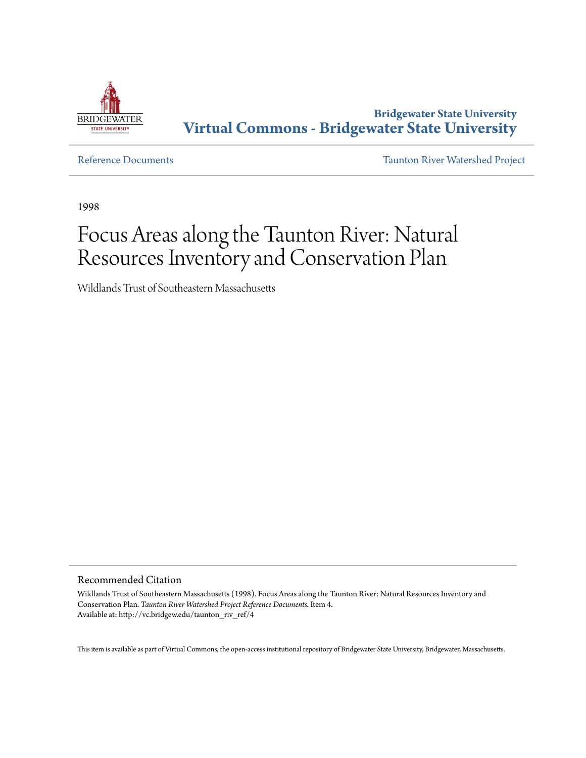

**Bridgewater State University [Virtual Commons - Bridgewater State University](http://vc.bridgew.edu)**

[Reference Documents](http://vc.bridgew.edu/taunton_riv_ref) [Taunton River Watershed Project](http://vc.bridgew.edu/taunton_riv)

1998

# Focus Areas along the Taunton River: Natural Resources Inventory and Conservation Plan

Wildlands Trust of Southeastern Massachusetts

Recommended Citation

Wildlands Trust of Southeastern Massachusetts (1998). Focus Areas along the Taunton River: Natural Resources Inventory and Conservation Plan. *Taunton River Watershed Project Reference Documents.* Item 4. Available at: http://vc.bridgew.edu/taunton\_riv\_ref/4

This item is available as part of Virtual Commons, the open-access institutional repository of Bridgewater State University, Bridgewater, Massachusetts.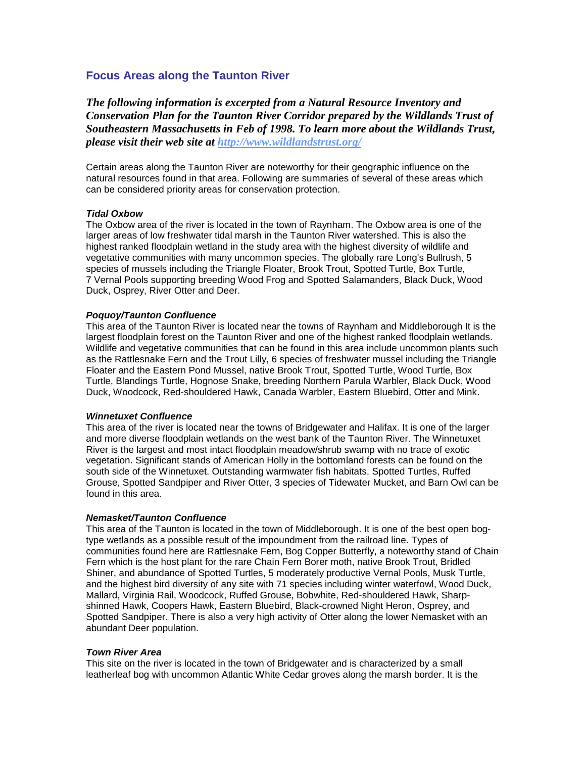# **Focus Areas along the Taunton River**

*The following information is excerpted from a Natural Resource Inventory and Conservation Plan for the Taunton River Corridor prepared by the Wildlands Trust of Southeastern Massachusetts in Feb of 1998. To learn more about the Wildlands Trust, please visit their web site at<http://www.wildlandstrust.org/>*

Certain areas along the Taunton River are noteworthy for their geographic influence on the natural resources found in that area. Following are summaries of several of these areas which can be considered priority areas for conservation protection.

#### *Tidal Oxbow*

The Oxbow area of the river is located in the town of Raynham. The Oxbow area is one of the larger areas of low freshwater tidal marsh in the Taunton River watershed. This is also the highest ranked floodplain wetland in the study area with the highest diversity of wildlife and vegetative communities with many uncommon species. The globally rare Long's Bullrush, 5 species of mussels including the Triangle Floater, Brook Trout, Spotted Turtle, Box Turtle, 7 Vernal Pools supporting breeding Wood Frog and Spotted Salamanders, Black Duck, Wood Duck, Osprey, River Otter and Deer.

#### *Poquoy/Taunton Confluence*

This area of the Taunton River is located near the towns of Raynham and Middleborough It is the largest floodplain forest on the Taunton River and one of the highest ranked floodplain wetlands. Wildlife and vegetative communities that can be found in this area include uncommon plants such as the Rattlesnake Fern and the Trout Lilly, 6 species of freshwater mussel including the Triangle Floater and the Eastern Pond Mussel, native Brook Trout, Spotted Turtle, Wood Turtle, Box Turtle, Blandings Turtle, Hognose Snake, breeding Northern Parula Warbler, Black Duck, Wood Duck, Woodcock, Red-shouldered Hawk, Canada Warbler, Eastern Bluebird, Otter and Mink.

#### *Winnetuxet Confluence*

This area of the river is located near the towns of Bridgewater and Halifax. It is one of the larger and more diverse floodplain wetlands on the west bank of the Taunton River. The Winnetuxet River is the largest and most intact floodplain meadow/shrub swamp with no trace of exotic vegetation. Significant stands of American Holly in the bottomland forests can be found on the south side of the Winnetuxet. Outstanding warmwater fish habitats, Spotted Turtles, Ruffed Grouse, Spotted Sandpiper and River Otter, 3 species of Tidewater Mucket, and Barn Owl can be found in this area.

## *Nemasket/Taunton Confluence*

This area of the Taunton is located in the town of Middleborough. It is one of the best open bogtype wetlands as a possible result of the impoundment from the railroad line. Types of communities found here are Rattlesnake Fern, Bog Copper Butterfly, a noteworthy stand of Chain Fern which is the host plant for the rare Chain Fern Borer moth, native Brook Trout, Bridled Shiner, and abundance of Spotted Turtles, 5 moderately productive Vernal Pools, Musk Turtle, and the highest bird diversity of any site with 71 species including winter waterfowl, Wood Duck, Mallard, Virginia Rail, Woodcock, Ruffed Grouse, Bobwhite, Red-shouldered Hawk, Sharpshinned Hawk, Coopers Hawk, Eastern Bluebird, Black-crowned Night Heron, Osprey, and Spotted Sandpiper. There is also a very high activity of Otter along the lower Nemasket with an abundant Deer population.

### *Town River Area*

This site on the river is located in the town of Bridgewater and is characterized by a small leatherleaf bog with uncommon Atlantic White Cedar groves along the marsh border. It is the